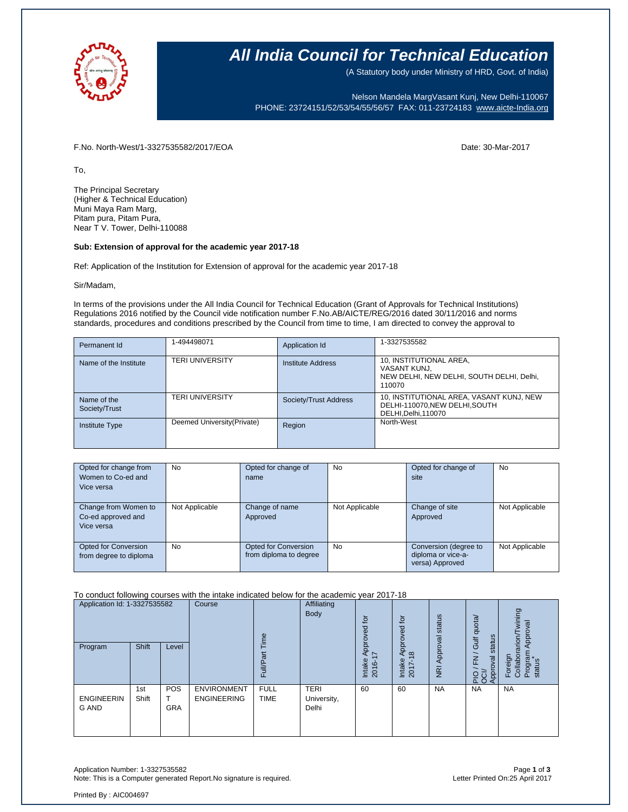

### **All India Council for Technical Education**

(A Statutory body under Ministry of HRD, Govt. of India)

Nelson Mandela MargVasant Kunj, New Delhi-110067 PHONE: 23724151/52/53/54/55/56/57 FAX: 011-23724183 [www.aicte-India.org](http://www.aicte-india.org/)

F.No. North-West/1-3327535582/2017/EOA Date: 30-Mar-2017

To,

The Principal Secretary (Higher & Technical Education) Muni Maya Ram Marg, Pitam pura, Pitam Pura, Near T V. Tower, Delhi-110088

### **Sub: Extension of approval for the academic year 2017-18**

Ref: Application of the Institution for Extension of approval for the academic year 2017-18

Sir/Madam,

In terms of the provisions under the All India Council for Technical Education (Grant of Approvals for Technical Institutions) Regulations 2016 notified by the Council vide notification number F.No.AB/AICTE/REG/2016 dated 30/11/2016 and norms standards, procedures and conditions prescribed by the Council from time to time, I am directed to convey the approval to

| Permanent Id                 | 1-494498071                 | Application Id        | 1-3327535582                                                                                       |
|------------------------------|-----------------------------|-----------------------|----------------------------------------------------------------------------------------------------|
| Name of the Institute        | <b>TERI UNIVERSITY</b>      | Institute Address     | 10, INSTITUTIONAL AREA,<br>VASANT KUNJ,<br>NEW DELHI, NEW DELHI, SOUTH DELHI, Delhi,<br>110070     |
| Name of the<br>Society/Trust | <b>TERI UNIVERSITY</b>      | Society/Trust Address | 10, INSTITUTIONAL AREA, VASANT KUNJ, NEW<br>DELHI-110070, NEW DELHI, SOUTH<br>DELHI, Delhi, 110070 |
| <b>Institute Type</b>        | Deemed University (Private) | Region                | North-West                                                                                         |

| Opted for change from<br>Women to Co-ed and<br>Vice versa | No             | Opted for change of<br>name                           | No             | Opted for change of<br>site                                    | No             |
|-----------------------------------------------------------|----------------|-------------------------------------------------------|----------------|----------------------------------------------------------------|----------------|
| Change from Women to<br>Co-ed approved and<br>Vice versa  | Not Applicable | Change of name<br>Approved                            | Not Applicable | Change of site<br>Approved                                     | Not Applicable |
| Opted for Conversion<br>from degree to diploma            | <b>No</b>      | <b>Opted for Conversion</b><br>from diploma to degree | <b>No</b>      | Conversion (degree to<br>diploma or vice-a-<br>versa) Approved | Not Applicable |

To conduct following courses with the intake indicated below for the academic year 2017-18

| Application Id: 1-3327535582 |              | Course            | $\omega$<br>Ĕ                            |                            | $\overline{\mathsf{d}}$<br>요<br>Ó   | tor<br>pproved            | status                                 | dnota                      | wining<br>Approval                                                           |                                                             |
|------------------------------|--------------|-------------------|------------------------------------------|----------------------------|-------------------------------------|---------------------------|----------------------------------------|----------------------------|------------------------------------------------------------------------------|-------------------------------------------------------------|
| Program                      | Shift        | Level             |                                          | ω<br>$\frac{d}{dt}$<br>u.  |                                     | ğ<br>ィト<br>Intake<br>2016 | $\frac{8}{2}$<br>⋖<br>Intake<br>2017-1 | Approval<br>$\overline{R}$ | status<br><b>Jir</b><br>$\overline{\phantom{0}}$<br>준<br>pkoo<br>Appro<br>운항 | arion<br>Program<br>status<br>Foreign<br>Collabor<br>$\sim$ |
| <b>ENGINEERIN</b><br>G AND   | 1st<br>Shift | POS<br><b>GRA</b> | <b>ENVIRONMENT</b><br><b>ENGINEERING</b> | <b>FULL</b><br><b>TIME</b> | <b>TERI</b><br>University,<br>Delhi | 60                        | 60                                     | <b>NA</b>                  | <b>NA</b>                                                                    | <b>NA</b>                                                   |

Application Number: 1-3327535582 Page **1** of **3** Note: This is a Computer generated Report.No signature is required.

Printed By : AIC004697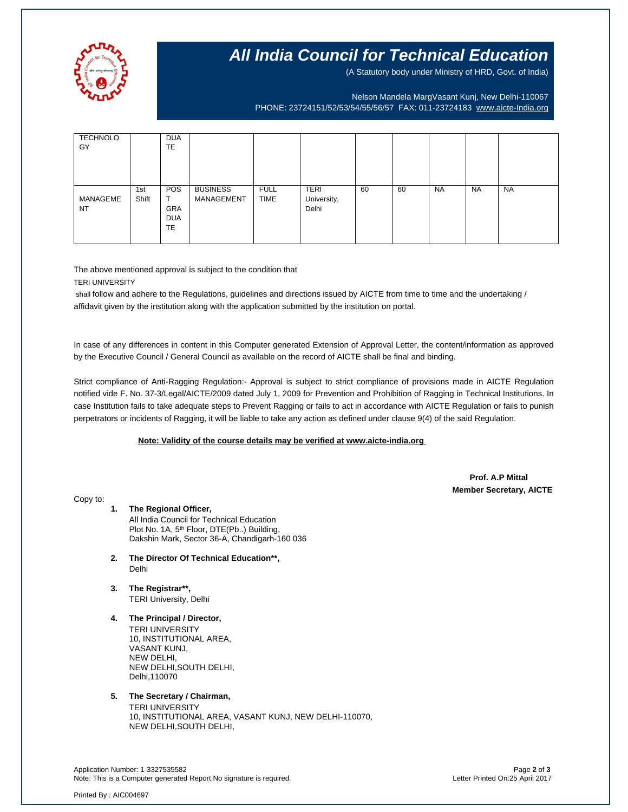

## **All India Council for Technical Education**

(A Statutory body under Ministry of HRD, Govt. of India)

Nelson Mandela MargVasant Kunj, New Delhi-110067 PHONE: 23724151/52/53/54/55/56/57 FAX: 011-23724183 [www.aicte-India.org](http://www.aicte-india.org/)

| <b>TECHNOLO</b><br>GY |              | <b>DUA</b><br><b>TE</b>                             |                               |                            |                                     |    |    |           |           |           |
|-----------------------|--------------|-----------------------------------------------------|-------------------------------|----------------------------|-------------------------------------|----|----|-----------|-----------|-----------|
| MANAGEME<br><b>NT</b> | 1st<br>Shift | <b>POS</b><br><b>GRA</b><br><b>DUA</b><br><b>TE</b> | <b>BUSINESS</b><br>MANAGEMENT | <b>FULL</b><br><b>TIME</b> | <b>TERI</b><br>University,<br>Delhi | 60 | 60 | <b>NA</b> | <b>NA</b> | <b>NA</b> |

The above mentioned approval is subject to the condition that

TERI UNIVERSITY

shall follow and adhere to the Regulations, guidelines and directions issued by AICTE from time to time and the undertaking / affidavit given by the institution along with the application submitted by the institution on portal.

In case of any differences in content in this Computer generated Extension of Approval Letter, the content/information as approved by the Executive Council / General Council as available on the record of AICTE shall be final and binding.

Strict compliance of Anti-Ragging Regulation:- Approval is subject to strict compliance of provisions made in AICTE Regulation notified vide F. No. 37-3/Legal/AICTE/2009 dated July 1, 2009 for Prevention and Prohibition of Ragging in Technical Institutions. In case Institution fails to take adequate steps to Prevent Ragging or fails to act in accordance with AICTE Regulation or fails to punish perpetrators or incidents of Ragging, it will be liable to take any action as defined under clause 9(4) of the said Regulation.

#### **Note: Validity of the course details may be verified at www.aicte-india.org**

 **Prof. A.P Mittal Member Secretary, AICTE**

Copy to:

- **1. The Regional Officer,** All India Council for Technical Education Plot No. 1A, 5<sup>th</sup> Floor, DTE(Pb..) Building, Dakshin Mark, Sector 36-A, Chandigarh-160 036
- **2. The Director Of Technical Education\*\*,** Delhi
- **3. The Registrar\*\*,** TERI University, Delhi
- **4. The Principal / Director,** TERI UNIVERSITY 10, INSTITUTIONAL AREA, VASANT KUNJ, NEW DELHI, NEW DELHI,SOUTH DELHI, Delhi,110070

**5. The Secretary / Chairman,**

TERI UNIVERSITY 10, INSTITUTIONAL AREA, VASANT KUNJ, NEW DELHI-110070, NEW DELHI,SOUTH DELHI,